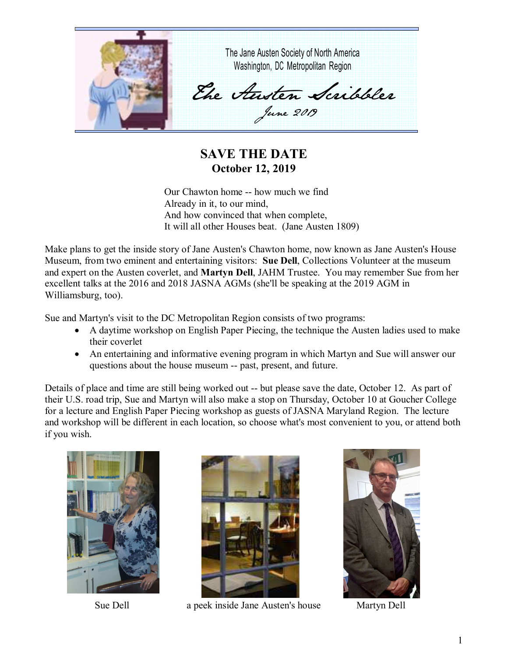

**SAVE THE DATE October 12, 2019** 

Our Chawton home -- how much we find Already in it, to our mind, And how convinced that when complete, It will all other Houses beat. (Jane Austen 1809)

Make plans to get the inside story of Jane Austen's Chawton home, now known as Jane Austen's House Museum, from two eminent and entertaining visitors: **Sue Dell**, Collections Volunteer at the museum and expert on the Austen coverlet, and **Martyn Dell**, JAHM Trustee. You may remember Sue from her excellent talks at the 2016 and 2018 JASNA AGMs (she'll be speaking at the 2019 AGM in Williamsburg, too).

Sue and Martyn's visit to the DC Metropolitan Region consists of two programs:

- A daytime workshop on English Paper Piecing, the technique the Austen ladies used to make their coverlet
- An entertaining and informative evening program in which Martyn and Sue will answer our questions about the house museum -- past, present, and future.

Details of place and time are still being worked out -- but please save the date, October 12. As part of their U.S. road trip, Sue and Martyn will also make a stop on Thursday, October 10 at Goucher College for a lecture and English Paper Piecing workshop as guests of JASNA Maryland Region. The lecture and workshop will be different in each location, so choose what's most convenient to you, or attend both if you wish.





Sue Dell a peek inside Jane Austen's house Martyn Dell

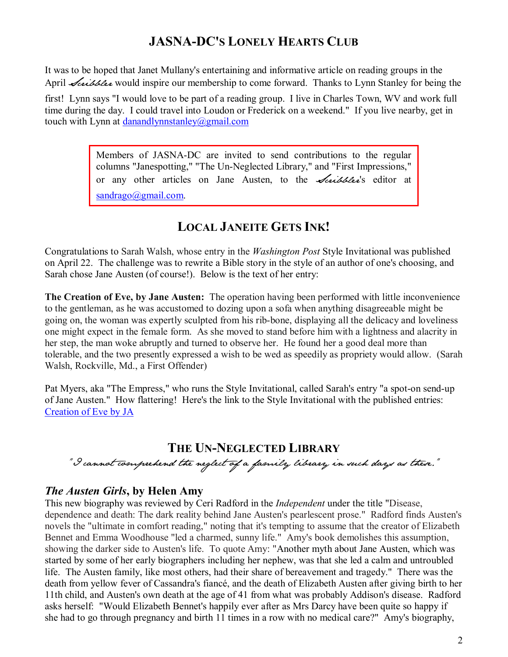## **JASNA-DC'S LONELY HEARTS CLUB**

It was to be hoped that Janet Mullany's entertaining and informative article on reading groups in the April *Scribbler* would inspire our membership to come forward. Thanks to Lynn Stanley for being the

first! Lynn says "I would love to be part of a reading group. I live in Charles Town, WV and work full time during the day. I could travel into Loudon or Frederick on a weekend." If you live nearby, get in touch with Lynn at danandlynnstanley@gmail.com

> Members of JASNA-DC are invited to send contributions to the regular columns "Janespotting," "The Un-Neglected Library," and "First Impressions," or any other articles on Jane Austen, to the *Scribbler's* editor at sandrago@gmail.com.

# **LOCAL JANEITE GETS INK!**

Congratulations to Sarah Walsh, whose entry in the *Washington Post* Style Invitational was published on April 22. The challenge was to rewrite a Bible story in the style of an author of one's choosing, and Sarah chose Jane Austen (of course!). Below is the text of her entry:

**The Creation of Eve, by Jane Austen:** The operation having been performed with little inconvenience to the gentleman, as he was accustomed to dozing upon a sofa when anything disagreeable might be going on, the woman was expertly sculpted from his rib-bone, displaying all the delicacy and loveliness one might expect in the female form. As she moved to stand before him with a lightness and alacrity in her step, the man woke abruptly and turned to observe her. He found her a good deal more than tolerable, and the two presently expressed a wish to be wed as speedily as propriety would allow. (Sarah Walsh, Rockville, Md., a First Offender)

Pat Myers, aka "The Empress," who runs the Style Invitational, called Sarah's entry "a spot-on send-up of Jane Austen." How flattering! Here's the link to the Style Invitational with the published entries: Creation of Eve by JA

## **THE UN-NEGLECTED LIBRARY**

"I cannot comprehend the neglect of a family library in such days as these."

#### *The Austen Girls***, by Helen Amy**

This new biography was reviewed by Ceri Radford in the *Independent* under the title "Disease, dependence and death: The dark reality behind Jane Austen's pearlescent prose." Radford finds Austen's novels the "ultimate in comfort reading," noting that it's tempting to assume that the creator of Elizabeth Bennet and Emma Woodhouse "led a charmed, sunny life." Amy's book demolishes this assumption, showing the darker side to Austen's life. To quote Amy: "Another myth about Jane Austen, which was started by some of her early biographers including her nephew, was that she led a calm and untroubled life. The Austen family, like most others, had their share of bereavement and tragedy." There was the death from yellow fever of Cassandra's fiancé, and the death of Elizabeth Austen after giving birth to her 11th child, and Austen's own death at the age of 41 from what was probably Addison's disease. Radford asks herself: "Would Elizabeth Bennet's happily ever after as Mrs Darcy have been quite so happy if she had to go through pregnancy and birth 11 times in a row with no medical care?" Amy's biography,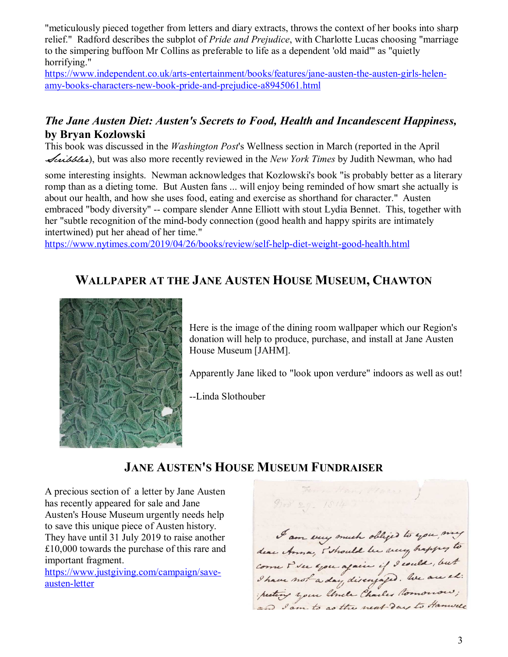"meticulously pieced together from letters and diary extracts, throws the context of her books into sharp relief." Radford describes the subplot of *Pride and Prejudice*, with Charlotte Lucas choosing "marriage to the simpering buffoon Mr Collins as preferable to life as a dependent 'old maid'" as "quietly horrifying."

https://www.independent.co.uk/arts-entertainment/books/features/jane-austen-the-austen-girls-helenamy-books-characters-new-book-pride-and-prejudice-a8945061.html

#### *The Jane Austen Diet: Austen's Secrets to Food, Health and Incandescent Happiness,*  **by Bryan Kozlowski**

This book was discussed in the *Washington Post*'s Wellness section in March (reported in the April Scribbler), but was also more recently reviewed in the *New York Times* by Judith Newman, who had

some interesting insights. Newman acknowledges that Kozlowski's book "is probably better as a literary romp than as a dieting tome. But Austen fans ... will enjoy being reminded of how smart she actually is about our health, and how she uses food, eating and exercise as shorthand for character." Austen embraced "body diversity" -- compare slender Anne Elliott with stout Lydia Bennet. This, together with her "subtle recognition of the mind-body connection (good health and happy spirits are intimately intertwined) put her ahead of her time."

https://www.nytimes.com/2019/04/26/books/review/self-help-diet-weight-good-health.html

# **WALLPAPER AT THE JANE AUSTEN HOUSE MUSEUM, CHAWTON**



Here is the image of the dining room wallpaper which our Region's donation will help to produce, purchase, and install at Jane Austen House Museum [JAHM].

Apparently Jane liked to "look upon verdure" indoors as well as out!

--Linda Slothouber

# **JANE AUSTEN'S HOUSE MUSEUM FUNDRAISER**

A precious section of a letter by Jane Austen has recently appeared for sale and Jane Austen's House Museum urgently needs help to save this unique piece of Austen history. They have until 31 July 2019 to raise another £10,000 towards the purchase of this rare and important fragment.

https://www.justgiving.com/campaign/saveausten-letter

Ferra Hamp Places  $900229 - 1814$ I am very much obliged to you my dear Anna, s'should be very happy to and I am to as the next day to Hanvell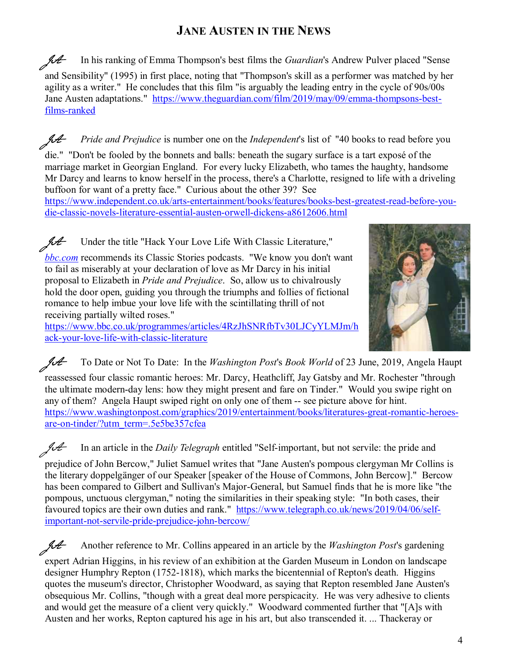# **JANE AUSTEN IN THE NEWS**

JA In his ranking of Emma Thompson's best films the *Guardian*'s Andrew Pulver placed "Sense and Sensibility" (1995) in first place, noting that "Thompson's skill as a performer was matched by her agility as a writer." He concludes that this film "is arguably the leading entry in the cycle of 90s/00s Jane Austen adaptations." https://www.theguardian.com/film/2019/may/09/emma-thompsons-bestfilms-ranked

JA *Pride and Prejudice* is number one on the *Independent*'s list of "40 books to read before you

die." "Don't be fooled by the bonnets and balls: beneath the sugary surface is a tart exposé of the marriage market in Georgian England. For every lucky Elizabeth, who tames the haughty, handsome Mr Darcy and learns to know herself in the process, there's a Charlotte, resigned to life with a driveling buffoon for want of a pretty face." Curious about the other 39? See

https://www.independent.co.uk/arts-entertainment/books/features/books-best-greatest-read-before-youdie-classic-novels-literature-essential-austen-orwell-dickens-a8612606.html

 $\mathcal{H}$  Under the title "Hack Your Love Life With Classic Literature,"

*bbc.com* recommends its Classic Stories podcasts. "We know you don't want to fail as miserably at your declaration of love as Mr Darcy in his initial proposal to Elizabeth in *Pride and Prejudice*. So, allow us to chivalrously hold the door open, guiding you through the triumphs and follies of fictional romance to help imbue your love life with the scintillating thrill of not receiving partially wilted roses."

https://www.bbc.co.uk/programmes/articles/4RzJhSNRfbTv30LJCyYLMJm/h ack-your-love-life-with-classic-literature



reassessed four classic romantic heroes: Mr. Darcy, Heathcliff, Jay Gatsby and Mr. Rochester "through the ultimate modern-day lens: how they might present and fare on Tinder." Would you swipe right on any of them? Angela Haupt swiped right on only one of them -- see picture above for hint. https://www.washingtonpost.com/graphics/2019/entertainment/books/literatures-great-romantic-heroesare-on-tinder/?utm\_term=.5e5be357cfea

JA In an article in the *Daily Telegraph* entitled "Self-important, but not servile: the pride and

prejudice of John Bercow," Juliet Samuel writes that "Jane Austen's pompous clergyman Mr Collins is the literary doppelgänger of our Speaker [speaker of the House of Commons, John Bercow]." Bercow has been compared to Gilbert and Sullivan's Major-General, but Samuel finds that he is more like "the pompous, unctuous clergyman," noting the similarities in their speaking style: "In both cases, their favoured topics are their own duties and rank." https://www.telegraph.co.uk/news/2019/04/06/selfimportant-not-servile-pride-prejudice-john-bercow/

JA Another reference to Mr. Collins appeared in an article by the *Washington Post*'s gardening expert Adrian Higgins, in his review of an exhibition at the Garden Museum in London on landscape designer Humphry Repton (1752-1818), which marks the bicentennial of Repton's death. Higgins quotes the museum's director, Christopher Woodward, as saying that Repton resembled Jane Austen's obsequious Mr. Collins, "though with a great deal more perspicacity. He was very adhesive to clients and would get the measure of a client very quickly." Woodward commented further that "[A]s with Austen and her works, Repton captured his age in his art, but also transcended it. ... Thackeray or